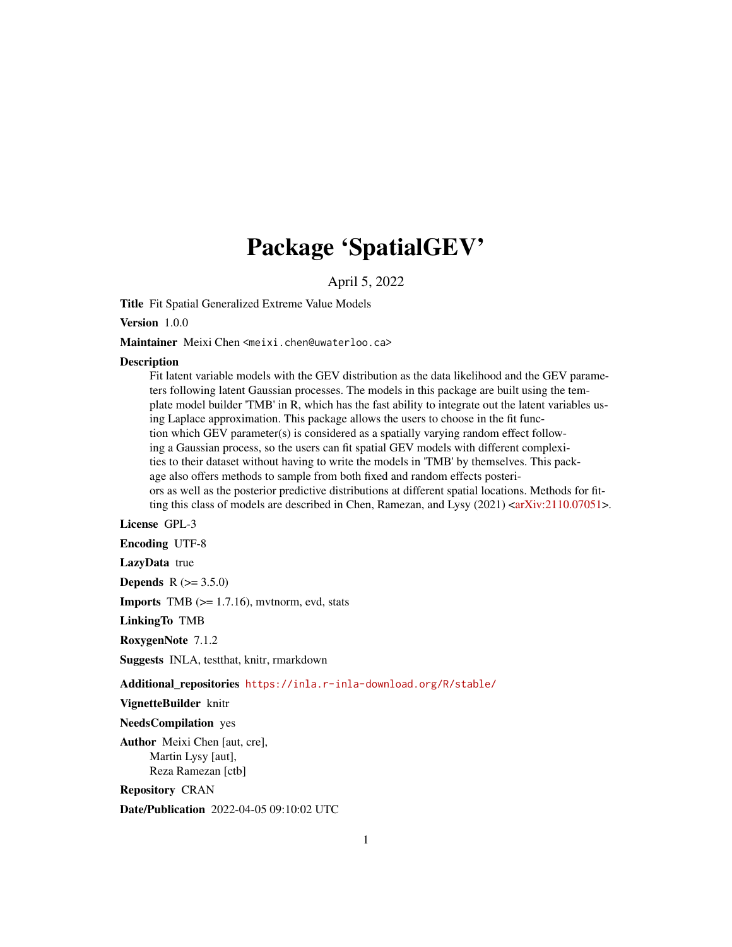# Package 'SpatialGEV'

April 5, 2022

Title Fit Spatial Generalized Extreme Value Models

Version 1.0.0

Maintainer Meixi Chen <meixi.chen@uwaterloo.ca>

#### **Description**

Fit latent variable models with the GEV distribution as the data likelihood and the GEV parameters following latent Gaussian processes. The models in this package are built using the template model builder 'TMB' in R, which has the fast ability to integrate out the latent variables using Laplace approximation. This package allows the users to choose in the fit function which GEV parameter(s) is considered as a spatially varying random effect following a Gaussian process, so the users can fit spatial GEV models with different complexities to their dataset without having to write the models in 'TMB' by themselves. This package also offers methods to sample from both fixed and random effects posteriors as well as the posterior predictive distributions at different spatial locations. Methods for fitting this class of models are described in Chen, Ramezan, and Lysy  $(2021)$  [<arXiv:2110.07051>](https://arxiv.org/abs/2110.07051).

License GPL-3

Encoding UTF-8

LazyData true

**Depends** R  $(>= 3.5.0)$ 

**Imports** TMB  $(>= 1.7.16)$ , mythorm, evd, stats

LinkingTo TMB

RoxygenNote 7.1.2

Suggests INLA, testthat, knitr, rmarkdown

Additional\_repositories <https://inla.r-inla-download.org/R/stable/>

VignetteBuilder knitr

NeedsCompilation yes

Author Meixi Chen [aut, cre], Martin Lysy [aut], Reza Ramezan [ctb]

Repository CRAN

Date/Publication 2022-04-05 09:10:02 UTC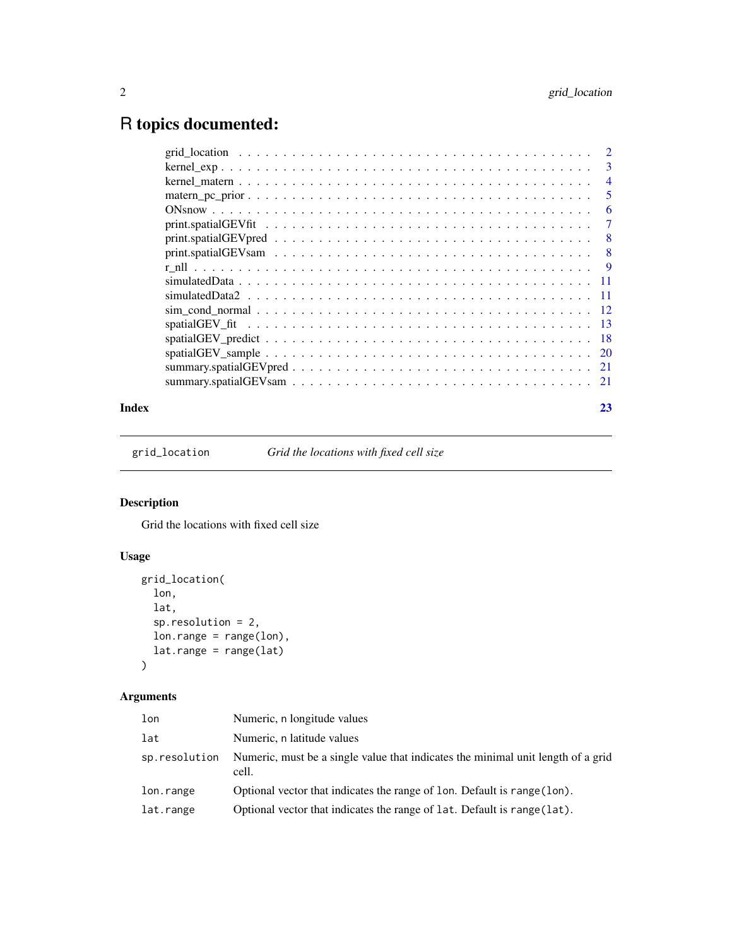## <span id="page-1-0"></span>R topics documented:

| 3    |
|------|
| 4    |
| 5    |
| 6    |
| 7    |
| 8    |
| 8    |
| -9   |
|      |
| - 11 |
|      |
| -13  |
|      |
|      |
|      |
|      |
|      |

#### **Index** [23](#page-22-0)

grid\_location *Grid the locations with fixed cell size*

#### Description

Grid the locations with fixed cell size

#### Usage

```
grid_location(
 lon,
 lat,
 sp.resolution = 2,
 lon.range = range(lon),
 lat.range = range(lat)
)
```
#### Arguments

| lon           | Numeric, n longitude values                                                               |
|---------------|-------------------------------------------------------------------------------------------|
| lat           | Numeric, n latitude values                                                                |
| sp.resolution | Numeric, must be a single value that indicates the minimal unit length of a grid<br>cell. |
| lon.range     | Optional vector that indicates the range of 1 on. Default is range (1 on).                |
| lat.range     | Optional vector that indicates the range of lat. Default is range (lat).                  |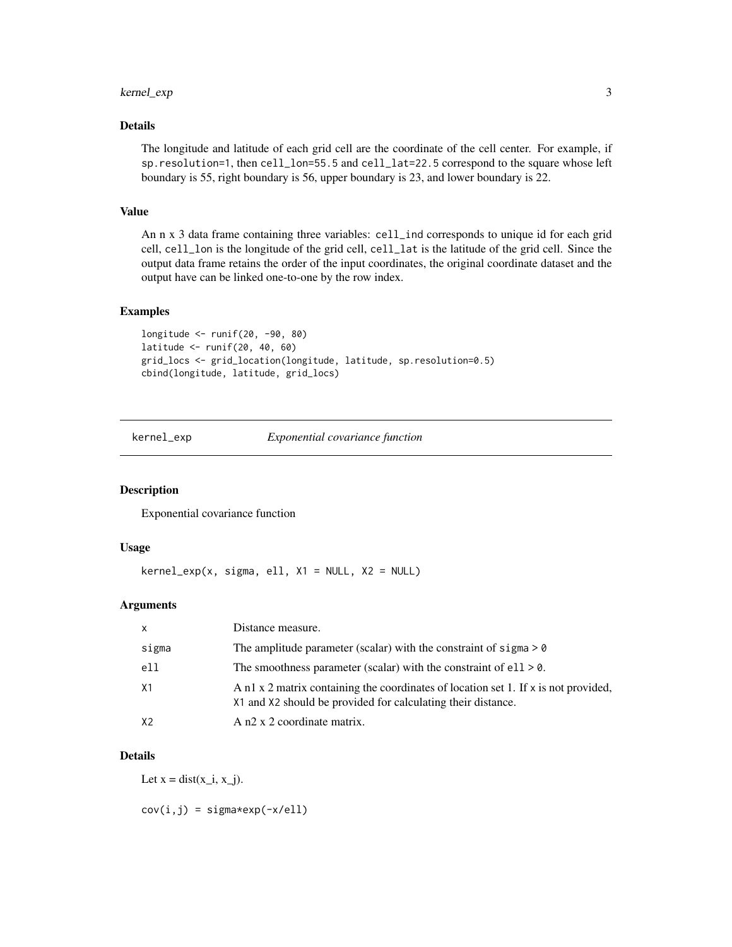#### <span id="page-2-0"></span>kernel\_exp 3

#### Details

The longitude and latitude of each grid cell are the coordinate of the cell center. For example, if sp.resolution=1, then cell\_lon=55.5 and cell\_lat=22.5 correspond to the square whose left boundary is 55, right boundary is 56, upper boundary is 23, and lower boundary is 22.

#### Value

An n x 3 data frame containing three variables: cell\_ind corresponds to unique id for each grid cell, cell\_lon is the longitude of the grid cell, cell\_lat is the latitude of the grid cell. Since the output data frame retains the order of the input coordinates, the original coordinate dataset and the output have can be linked one-to-one by the row index.

#### Examples

```
longitude <- runif(20, -90, 80)
latitude <- runif(20, 40, 60)
grid_locs <- grid_location(longitude, latitude, sp.resolution=0.5)
cbind(longitude, latitude, grid_locs)
```
kernel\_exp *Exponential covariance function*

#### Description

Exponential covariance function

#### Usage

 $kernel\_exp(x, sigma, ell, X1 = NULL, X2 = NULL)$ 

#### Arguments

| $\mathsf{x}$ | Distance measure.                                                                                                                                   |
|--------------|-----------------------------------------------------------------------------------------------------------------------------------------------------|
| sigma        | The amplitude parameter (scalar) with the constraint of sigma $> 0$                                                                                 |
| ell          | The smoothness parameter (scalar) with the constraint of $ell > 0$ .                                                                                |
| X1           | A n1 x 2 matrix containing the coordinates of location set 1. If x is not provided,<br>X1 and X2 should be provided for calculating their distance. |
| X2           | A n2 x 2 coordinate matrix.                                                                                                                         |

#### Details

Let  $x = dist(x_i, x_i)$ .

 $cov(i, j) = sigma*exp(-x/ell)$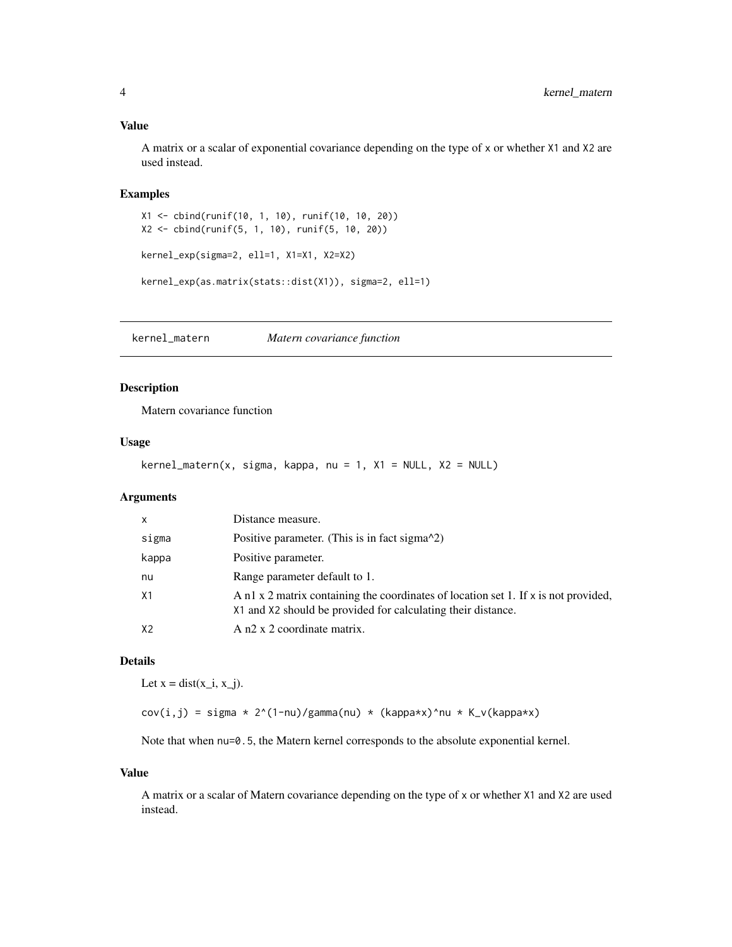#### <span id="page-3-0"></span>Value

A matrix or a scalar of exponential covariance depending on the type of x or whether X1 and X2 are used instead.

#### Examples

X1 <- cbind(runif(10, 1, 10), runif(10, 10, 20)) X2 <- cbind(runif(5, 1, 10), runif(5, 10, 20)) kernel\_exp(sigma=2, ell=1, X1=X1, X2=X2) kernel\_exp(as.matrix(stats::dist(X1)), sigma=2, ell=1)

kernel\_matern *Matern covariance function*

#### Description

Matern covariance function

#### Usage

kernel\_matern(x, sigma, kappa, nu = 1, X1 = NULL, X2 = NULL)

#### Arguments

| X              | Distance measure.                                                                                                                                   |
|----------------|-----------------------------------------------------------------------------------------------------------------------------------------------------|
| sigma          | Positive parameter. (This is in fact sigma $\alpha$ 2)                                                                                              |
| kappa          | Positive parameter.                                                                                                                                 |
| nu             | Range parameter default to 1.                                                                                                                       |
| X <sub>1</sub> | A n1 x 2 matrix containing the coordinates of location set 1. If x is not provided,<br>X1 and X2 should be provided for calculating their distance. |
| X <sub>2</sub> | A n2 x 2 coordinate matrix.                                                                                                                         |

#### Details

Let  $x = dist(x_i, x_j)$ .

 $cov(i,j) = sigma * 2^(1-nu)/gamma(nu) * (kappa*x)^nu * K_v(kappa*x)$ 

Note that when  $nu=0.5$ , the Matern kernel corresponds to the absolute exponential kernel.

#### Value

A matrix or a scalar of Matern covariance depending on the type of x or whether X1 and X2 are used instead.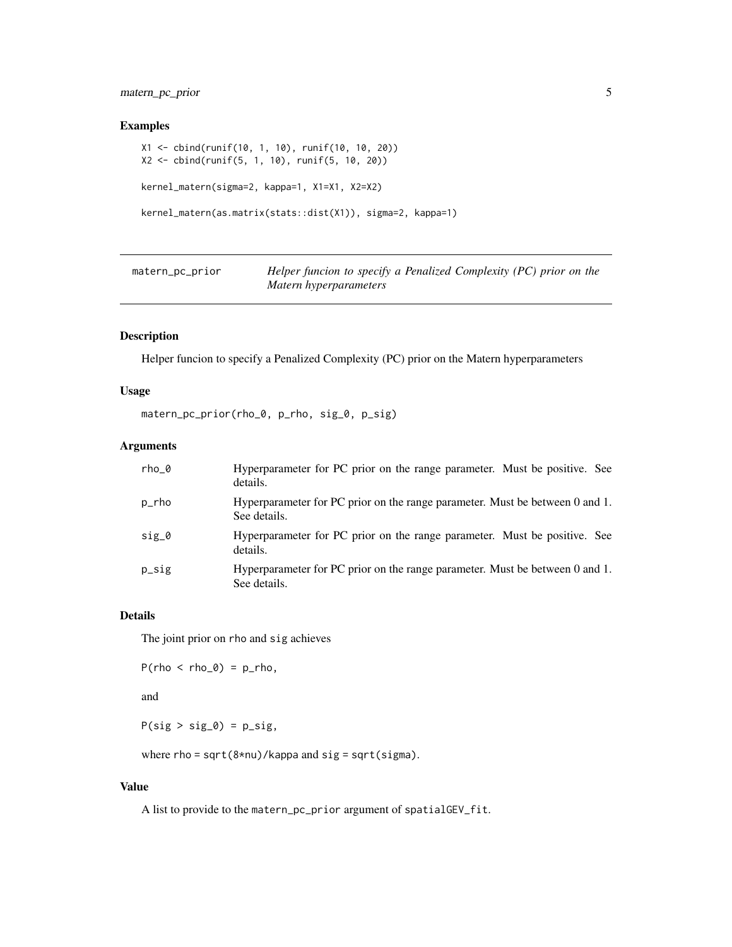#### <span id="page-4-0"></span>matern\_pc\_prior 5

#### Examples

```
X1 <- cbind(runif(10, 1, 10), runif(10, 10, 20))
X2 <- cbind(runif(5, 1, 10), runif(5, 10, 20))
kernel_matern(sigma=2, kappa=1, X1=X1, X2=X2)
kernel_matern(as.matrix(stats::dist(X1)), sigma=2, kappa=1)
```

| matern_pc_prior | Helper funcion to specify a Penalized Complexity (PC) prior on the |
|-----------------|--------------------------------------------------------------------|
|                 | Matern hyperparameters                                             |

#### Description

Helper funcion to specify a Penalized Complexity (PC) prior on the Matern hyperparameters

#### Usage

matern\_pc\_prior(rho\_0, p\_rho, sig\_0, p\_sig)

#### Arguments

| rho 0   | Hyperparameter for PC prior on the range parameter. Must be positive. See<br>details.        |
|---------|----------------------------------------------------------------------------------------------|
| p_rho   | Hyperparameter for PC prior on the range parameter. Must be between 0 and 1.<br>See details. |
| $sig_0$ | Hyperparameter for PC prior on the range parameter. Must be positive. See<br>details.        |
| p_sig   | Hyperparameter for PC prior on the range parameter. Must be between 0 and 1.<br>See details. |

#### Details

The joint prior on rho and sig achieves

```
P(rho < rho_0) = p_rho,
```
and

 $P(sig > sig_0) = p_sig$ ,

where rho = sqrt(8\*nu)/kappa and sig = sqrt(sigma).

#### Value

A list to provide to the matern\_pc\_prior argument of spatialGEV\_fit.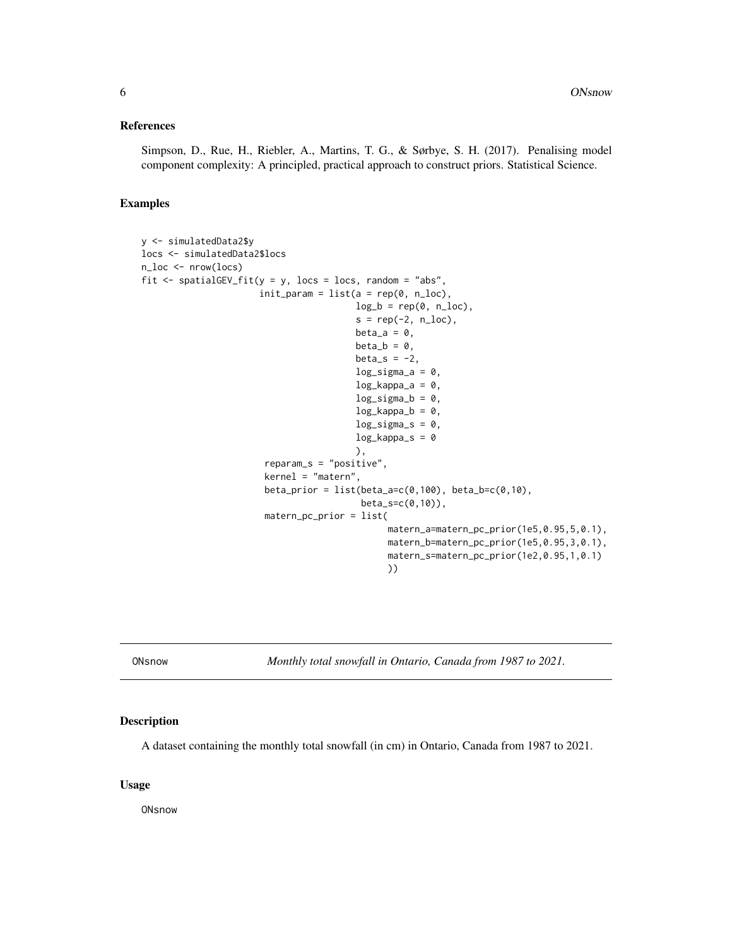#### <span id="page-5-0"></span>References

Simpson, D., Rue, H., Riebler, A., Martins, T. G., & Sørbye, S. H. (2017). Penalising model component complexity: A principled, practical approach to construct priors. Statistical Science.

#### Examples

```
y <- simulatedData2$y
locs <- simulatedData2$locs
n_loc <- nrow(locs)
fit \le spatialGEV_fit(y = y, locs = locs, random = "abs",
                      init\_param = list(a = rep(0, n\_loc),log_b = rep(0, n\_loc),s = rep(-2, n\_loc),beta_a = 0,
                                         beta_b = \theta,
                                         beta_s = -2,
                                         log_sigma_a = 0,
                                         log_kappa_a = 0,
                                         log\_sigma_b = 0,
                                         log_kappa_b = 0,
                                         log_s{sigma_s = 0},
                                         log_kappa_s = 0),
                        reparam_s = "positive",
                        kernel = "matern",
                        beta\_prior = list(beta_a=c(0,100), beta_b=c(0,10),beta_s=c(0,10)),
                        matern_pc_prior = list(
                                                matern_a=matern_pc_prior(1e5,0.95,5,0.1),
                                               matern_b=matern_pc_prior(1e5,0.95,3,0.1),
                                               matern_s=matern_pc_prior(1e2,0.95,1,0.1)
                                                ))
```
ONsnow *Monthly total snowfall in Ontario, Canada from 1987 to 2021.*

#### Description

A dataset containing the monthly total snowfall (in cm) in Ontario, Canada from 1987 to 2021.

#### Usage

**ONsnow**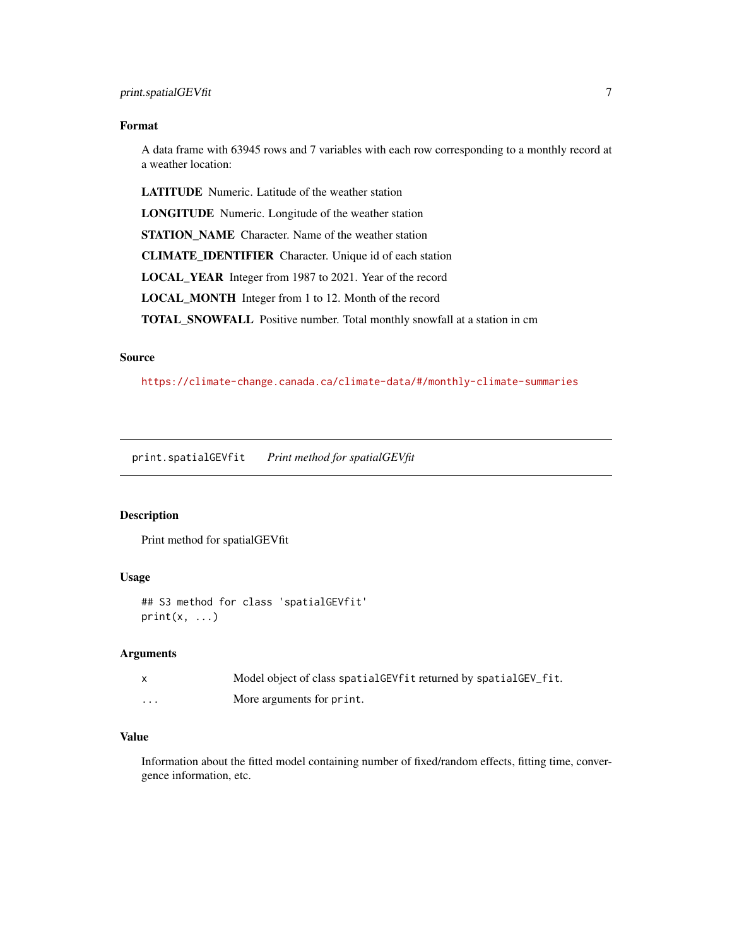#### <span id="page-6-0"></span>Format

A data frame with 63945 rows and 7 variables with each row corresponding to a monthly record at a weather location:

LATITUDE Numeric. Latitude of the weather station

LONGITUDE Numeric. Longitude of the weather station

STATION\_NAME Character. Name of the weather station

CLIMATE\_IDENTIFIER Character. Unique id of each station

LOCAL\_YEAR Integer from 1987 to 2021. Year of the record

LOCAL\_MONTH Integer from 1 to 12. Month of the record

TOTAL\_SNOWFALL Positive number. Total monthly snowfall at a station in cm

#### Source

<https://climate-change.canada.ca/climate-data/#/monthly-climate-summaries>

print.spatialGEVfit *Print method for spatialGEVfit*

#### Description

Print method for spatialGEVfit

#### Usage

```
## S3 method for class 'spatialGEVfit'
print(x, \ldots)
```
#### **Arguments**

|   | Model object of class spatial GEV fit returned by spatial GEV fit. |
|---|--------------------------------------------------------------------|
| . | More arguments for print.                                          |

#### Value

Information about the fitted model containing number of fixed/random effects, fitting time, convergence information, etc.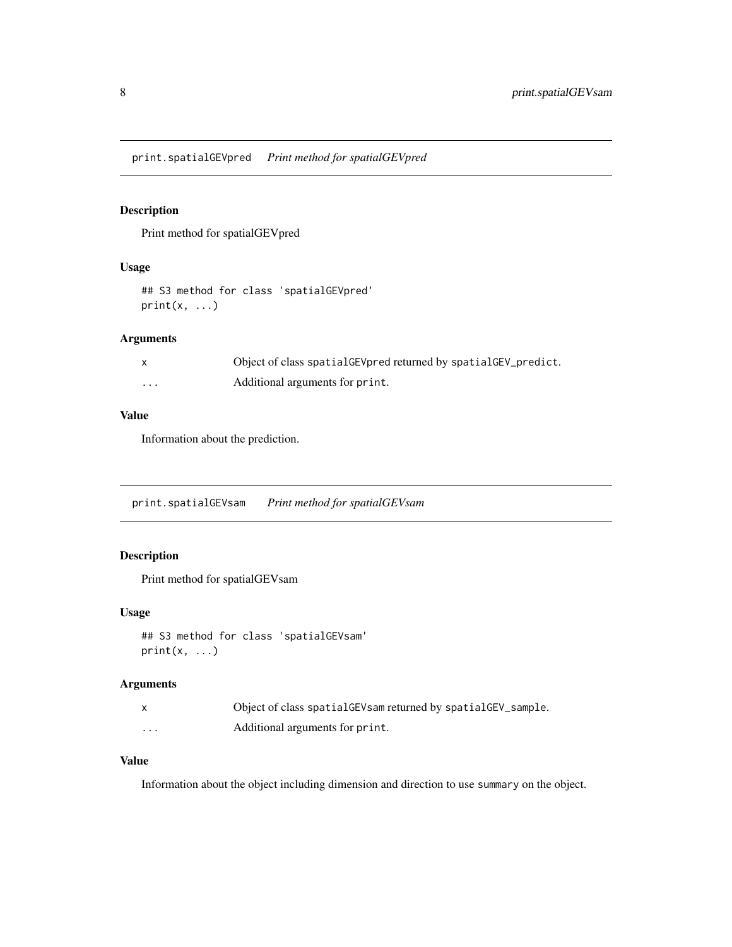<span id="page-7-0"></span>print.spatialGEVpred *Print method for spatialGEVpred*

#### Description

Print method for spatialGEVpred

#### Usage

## S3 method for class 'spatialGEVpred'  $print(x, \ldots)$ 

#### Arguments

|   | Object of class spatial GEV pred returned by spatial GEV_predict. |
|---|-------------------------------------------------------------------|
| . | Additional arguments for print.                                   |

#### Value

Information about the prediction.

print.spatialGEVsam *Print method for spatialGEVsam*

#### Description

Print method for spatialGEVsam

#### Usage

```
## S3 method for class 'spatialGEVsam'
print(x, \ldots)
```
#### Arguments

|          | Object of class spatialGEVsam returned by spatialGEV_sample. |
|----------|--------------------------------------------------------------|
| $\cdots$ | Additional arguments for print.                              |

#### Value

Information about the object including dimension and direction to use summary on the object.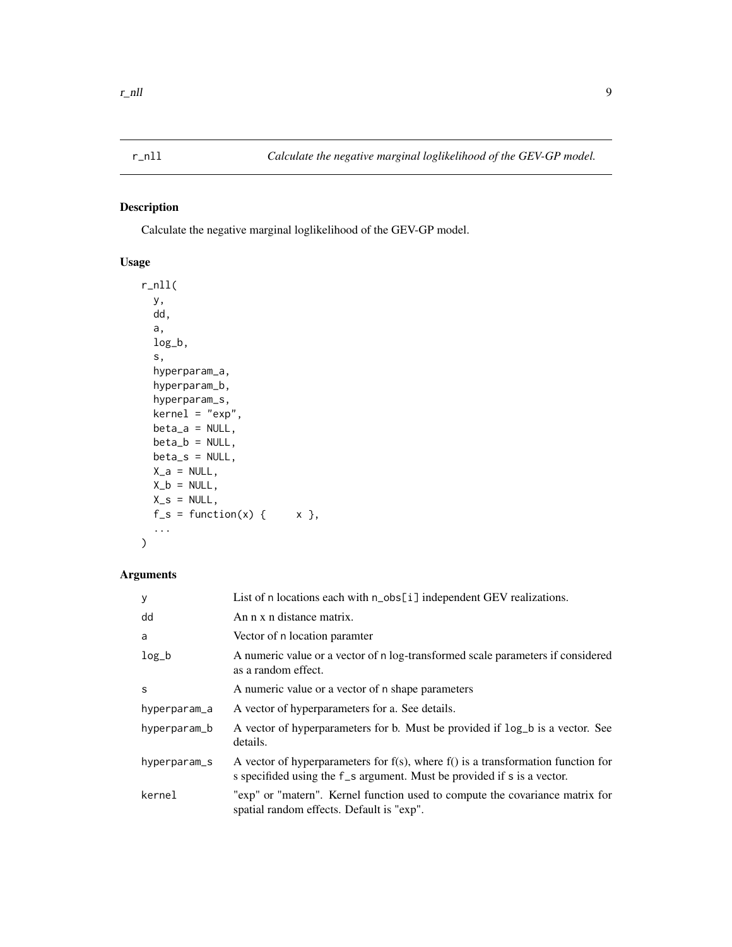#### <span id="page-8-0"></span>Description

Calculate the negative marginal loglikelihood of the GEV-GP model.

#### Usage

```
r_nll(
 y,
 dd,
 a,
  log_b,
  s,
 hyperparam_a,
 hyperparam_b,
 hyperparam_s,
 kernel = "exp",
 beta_a = NULL,
 beta_b = NULL,beta_s = NULL,X_a = NULL,X_b = NULL,X_s = NULL,f_s = function(x) { x },
  ...
)
```
#### Arguments

| y            | List of n locations each with n_obs[i] independent GEV realizations.                                                                                               |
|--------------|--------------------------------------------------------------------------------------------------------------------------------------------------------------------|
| dd           | An n x n distance matrix.                                                                                                                                          |
| a            | Vector of n location paramter                                                                                                                                      |
| $log_b$      | A numeric value or a vector of n log-transformed scale parameters if considered<br>as a random effect.                                                             |
| S            | A numeric value or a vector of n shape parameters                                                                                                                  |
| hyperparam_a | A vector of hyperparameters for a. See details.                                                                                                                    |
| hyperparam_b | A vector of hyperparameters for b. Must be provided if log_b is a vector. See<br>details.                                                                          |
| hyperparam_s | A vector of hyperparameters for $f(s)$ , where $f(s)$ is a transformation function for<br>s specifided using the f _s argument. Must be provided if s is a vector. |
| kernel       | "exp" or "matern". Kernel function used to compute the covariance matrix for<br>spatial random effects. Default is "exp".                                          |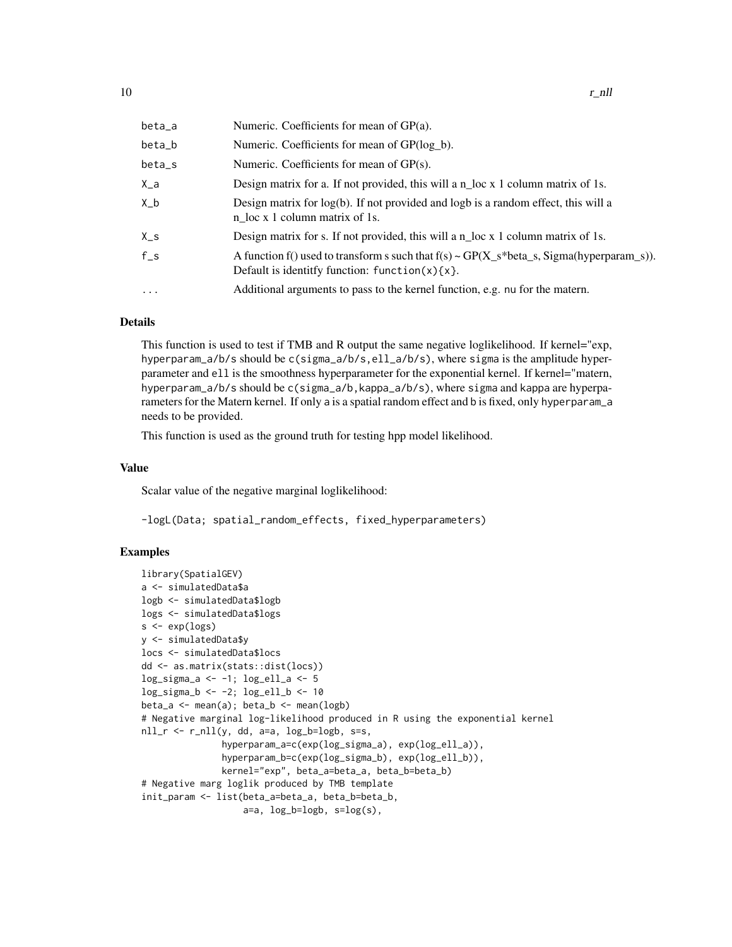| beta_a  | Numeric. Coefficients for mean of GP(a).                                                                                                             |
|---------|------------------------------------------------------------------------------------------------------------------------------------------------------|
| beta_b  | Numeric. Coefficients for mean of GP(log_b).                                                                                                         |
| beta_s  | Numeric. Coefficients for mean of GP(s).                                                                                                             |
| $X_a$   | Design matrix for a. If not provided, this will a $n$ loc x 1 column matrix of 1s.                                                                   |
| X_b     | Design matrix for $log(b)$ . If not provided and $logb$ is a random effect, this will a<br>n_loc x 1 column matrix of 1s.                            |
| $X_S$   | Design matrix for s. If not provided, this will a $n$ loc x 1 column matrix of 1s.                                                                   |
| $f_s$   | A function f() used to transform s such that $f(s) \sim GP(X_s^*beta_s, Sigma(hyperparam_s)).$<br>Default is identitfy function: $function(x)$ {x }. |
| $\cdot$ | Additional arguments to pass to the kernel function, e.g. nu for the matern.                                                                         |
|         |                                                                                                                                                      |

#### Details

This function is used to test if TMB and R output the same negative loglikelihood. If kernel="exp, hyperparam\_a/b/s should be c(sigma\_a/b/s,ell\_a/b/s), where sigma is the amplitude hyperparameter and ell is the smoothness hyperparameter for the exponential kernel. If kernel="matern, hyperparam\_a/b/s should be c(sigma\_a/b,kappa\_a/b/s), where sigma and kappa are hyperparameters for the Matern kernel. If only a is a spatial random effect and b is fixed, only hyperparam\_a needs to be provided.

This function is used as the ground truth for testing hpp model likelihood.

#### Value

Scalar value of the negative marginal loglikelihood:

-logL(Data; spatial\_random\_effects, fixed\_hyperparameters)

#### Examples

```
library(SpatialGEV)
a <- simulatedData$a
logb <- simulatedData$logb
logs <- simulatedData$logs
s \leftarrow \exp(\log s)y <- simulatedData$y
locs <- simulatedData$locs
dd <- as.matrix(stats::dist(locs))
log_sigma_a <- -1; log_ell_a <- 5
log_sigma_b <- -2; log_ell_b <- 10
beta_a <- mean(a); beta_b <- mean(logb)# Negative marginal log-likelihood produced in R using the exponential kernel
nll_r \leftarrow r_nll(y, dd, a=a, log_b=log_b, s=s,hyperparam_a=c(exp(log_sigma_a), exp(log_ell_a)),
               hyperparam_b=c(exp(log_sigma_b), exp(log_ell_b)),
               kernel="exp", beta_a=beta_a, beta_b=beta_b)
# Negative marg loglik produced by TMB template
init_param <- list(beta_a=beta_a, beta_b=beta_b,
                   a=a, log_b=logb, s=log(s),
```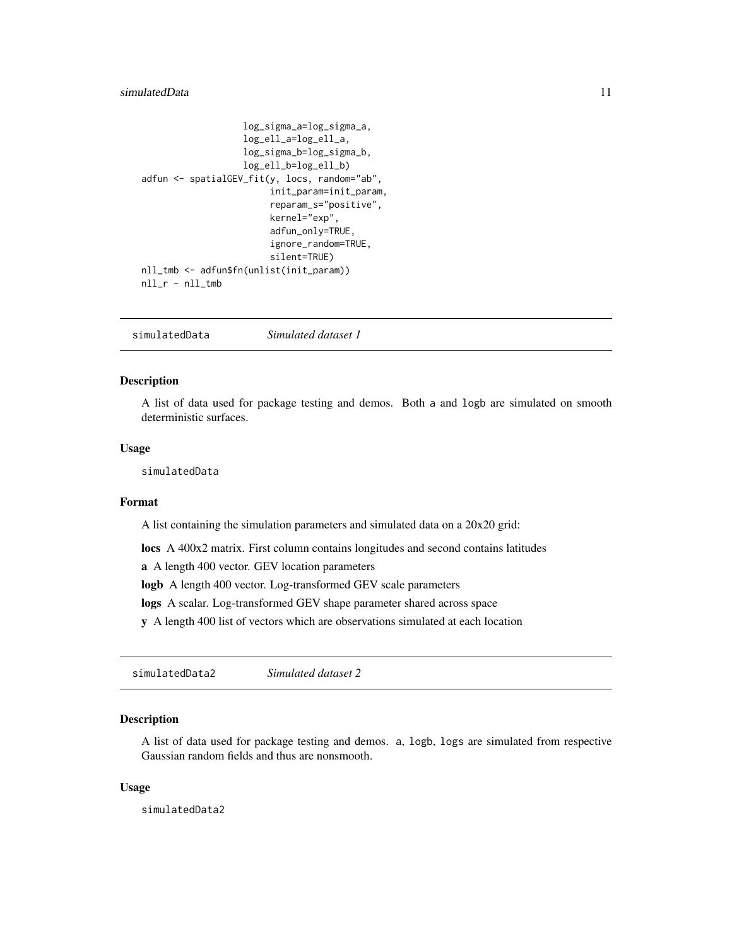#### <span id="page-10-0"></span>simulatedData 11

```
log_sigma_a=log_sigma_a,
                   log_ell_a=log_ell_a,
                   log_sigma_b=log_sigma_b,
                   log_ell_b=log_ell_b)
adfun <- spatialGEV_fit(y, locs, random="ab",
                        init_param=init_param,
                        reparam_s="positive",
                        kernel="exp",
                        adfun_only=TRUE,
                        ignore_random=TRUE,
                        silent=TRUE)
nll_tmb <- adfun$fn(unlist(init_param))
nll_r - nll_tmb
```
simulatedData *Simulated dataset 1*

#### Description

A list of data used for package testing and demos. Both a and logb are simulated on smooth deterministic surfaces.

#### Usage

simulatedData

#### Format

A list containing the simulation parameters and simulated data on a 20x20 grid:

locs A 400x2 matrix. First column contains longitudes and second contains latitudes

a A length 400 vector. GEV location parameters

logb A length 400 vector. Log-transformed GEV scale parameters

logs A scalar. Log-transformed GEV shape parameter shared across space

y A length 400 list of vectors which are observations simulated at each location

simulatedData2 *Simulated dataset 2*

#### Description

A list of data used for package testing and demos. a, logb, logs are simulated from respective Gaussian random fields and thus are nonsmooth.

#### Usage

simulatedData2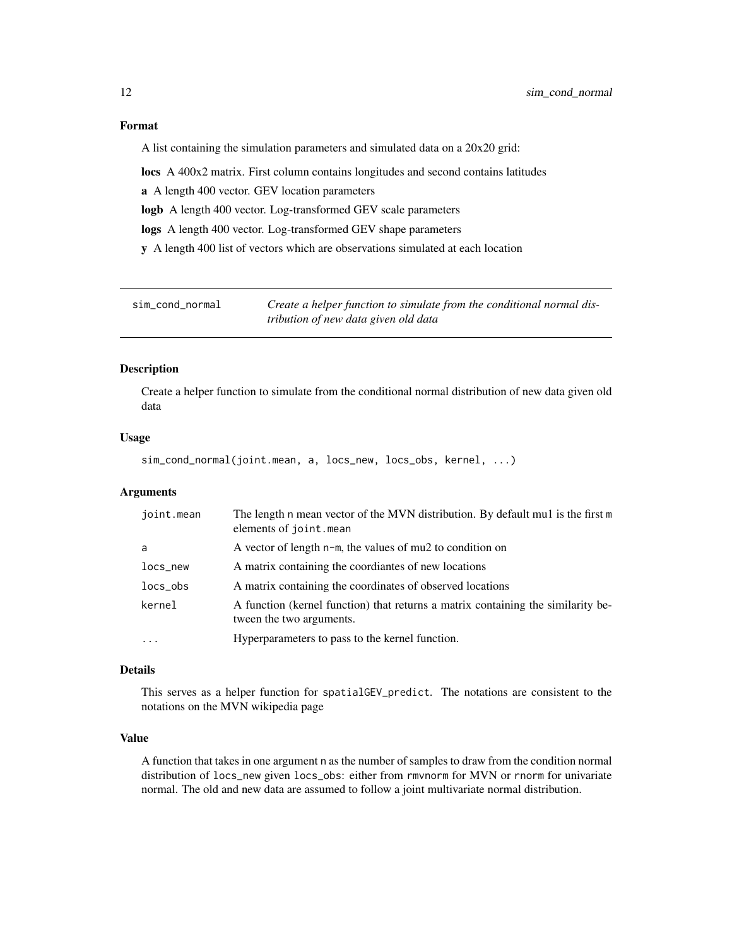#### Format

A list containing the simulation parameters and simulated data on a 20x20 grid:

locs A 400x2 matrix. First column contains longitudes and second contains latitudes

a A length 400 vector. GEV location parameters

logb A length 400 vector. Log-transformed GEV scale parameters

logs A length 400 vector. Log-transformed GEV shape parameters

y A length 400 list of vectors which are observations simulated at each location

sim\_cond\_normal *Create a helper function to simulate from the conditional normal distribution of new data given old data*

#### Description

Create a helper function to simulate from the conditional normal distribution of new data given old data

#### Usage

```
sim_cond_normal(joint.mean, a, locs_new, locs_obs, kernel, ...)
```
#### Arguments

| joint.mean              | The length n mean vector of the MVN distribution. By default mu1 is the first m<br>elements of joint.mean    |
|-------------------------|--------------------------------------------------------------------------------------------------------------|
| a                       | A vector of length $n-m$ , the values of mu2 to condition on                                                 |
| locs_new                | A matrix containing the coordiantes of new locations                                                         |
| $locs_obs$              | A matrix containing the coordinates of observed locations                                                    |
| kernel                  | A function (kernel function) that returns a matrix containing the similarity be-<br>tween the two arguments. |
| $\cdot$ $\cdot$ $\cdot$ | Hyperparameters to pass to the kernel function.                                                              |

#### Details

This serves as a helper function for spatialGEV\_predict. The notations are consistent to the notations on the MVN wikipedia page

#### Value

A function that takes in one argument n as the number of samples to draw from the condition normal distribution of locs\_new given locs\_obs: either from rmvnorm for MVN or rnorm for univariate normal. The old and new data are assumed to follow a joint multivariate normal distribution.

<span id="page-11-0"></span>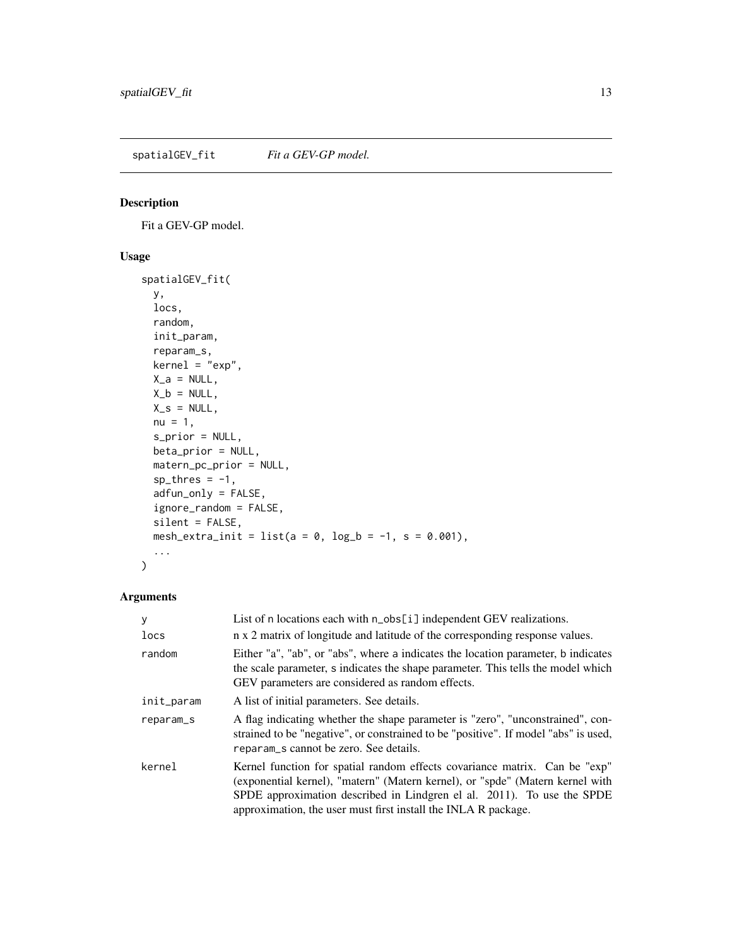<span id="page-12-0"></span>spatialGEV\_fit *Fit a GEV-GP model*.

#### Description

Fit a GEV-GP model.

#### Usage

```
spatialGEV_fit(
  y,
 locs,
 random,
  init_param,
  reparam_s,
 kernel = "exp",
 X_a = NULL,X_b = NULL,X_s = NULL,nu = 1,
 s_prior = NULL,
 beta_prior = NULL,
 matern_pc_prior = NULL,
  sp\_thres = -1,
  adfun_only = FALSE,
  ignore_random = FALSE,
  silent = FALSE,
 mesh_extra_init = list(a = 0, log_b = -1, s = 0.001),
  ...
\mathcal{L}
```
#### Arguments

| У<br>locs  | List of n locations each with n_obs[i] independent GEV realizations.<br>n x 2 matrix of longitude and latitude of the corresponding response values.                                                                                                                                                    |
|------------|---------------------------------------------------------------------------------------------------------------------------------------------------------------------------------------------------------------------------------------------------------------------------------------------------------|
| random     | Either "a", "ab", or "abs", where a indicates the location parameter, b indicates<br>the scale parameter, s indicates the shape parameter. This tells the model which<br>GEV parameters are considered as random effects.                                                                               |
| init_param | A list of initial parameters. See details.                                                                                                                                                                                                                                                              |
| reparam_s  | A flag indicating whether the shape parameter is "zero", "unconstrained", con-<br>strained to be "negative", or constrained to be "positive". If model "abs" is used,<br>reparam s cannot be zero. See details.                                                                                         |
| kernel     | Kernel function for spatial random effects covariance matrix. Can be "exp"<br>(exponential kernel), "matern" (Matern kernel), or "spde" (Matern kernel with<br>SPDE approximation described in Lindgren el al. 2011). To use the SPDE<br>approximation, the user must first install the INLA R package. |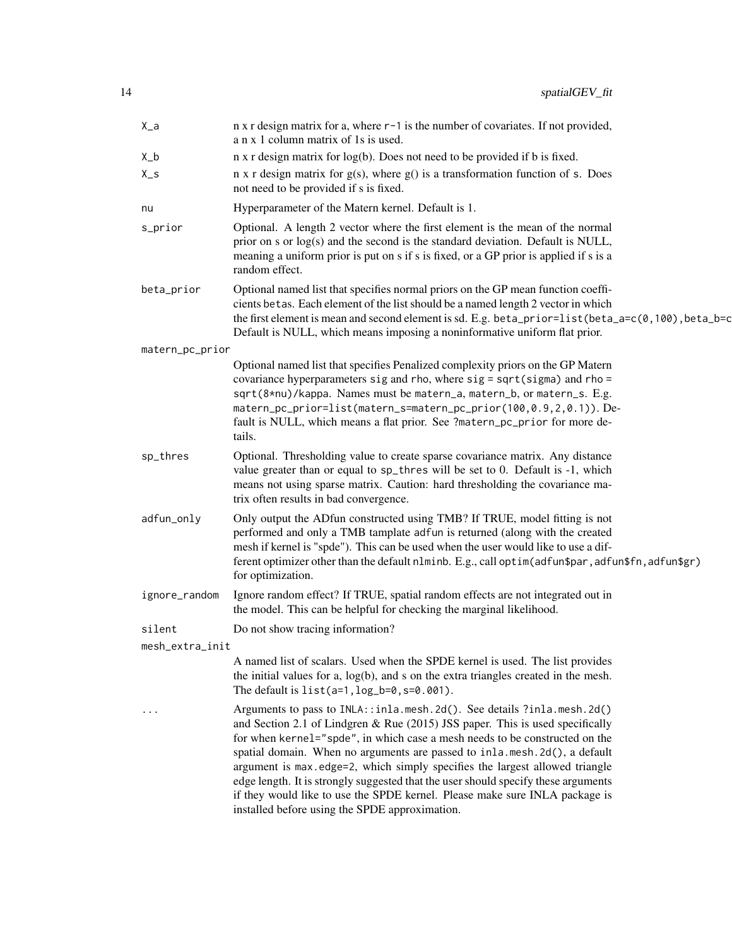| $X_a$           | n x r design matrix for a, where r-1 is the number of covariates. If not provided,<br>a n x 1 column matrix of 1s is used.                                                                                                                                                                                                                                                                                                                                                                                                                                                                                                |
|-----------------|---------------------------------------------------------------------------------------------------------------------------------------------------------------------------------------------------------------------------------------------------------------------------------------------------------------------------------------------------------------------------------------------------------------------------------------------------------------------------------------------------------------------------------------------------------------------------------------------------------------------------|
| $X_b$           | n x r design matrix for log(b). Does not need to be provided if b is fixed.                                                                                                                                                                                                                                                                                                                                                                                                                                                                                                                                               |
| $X_S$           | $n \times r$ design matrix for $g(s)$ , where $g()$ is a transformation function of s. Does<br>not need to be provided if s is fixed.                                                                                                                                                                                                                                                                                                                                                                                                                                                                                     |
| nu              | Hyperparameter of the Matern kernel. Default is 1.                                                                                                                                                                                                                                                                                                                                                                                                                                                                                                                                                                        |
| s_prior         | Optional. A length 2 vector where the first element is the mean of the normal<br>prior on s or log(s) and the second is the standard deviation. Default is NULL,<br>meaning a uniform prior is put on s if s is fixed, or a GP prior is applied if s is a<br>random effect.                                                                                                                                                                                                                                                                                                                                               |
| beta_prior      | Optional named list that specifies normal priors on the GP mean function coeffi-<br>cients betas. Each element of the list should be a named length 2 vector in which<br>the first element is mean and second element is sd. E.g. beta_prior=list (beta_a=c( $\theta$ , 100), beta_b=c<br>Default is NULL, which means imposing a noninformative uniform flat prior.                                                                                                                                                                                                                                                      |
| matern_pc_prior |                                                                                                                                                                                                                                                                                                                                                                                                                                                                                                                                                                                                                           |
|                 | Optional named list that specifies Penalized complexity priors on the GP Matern<br>covariance hyperparameters sig and rho, where sig = sqrt(sigma) and rho =<br>sqrt(8*nu)/kappa. Names must be matern_a, matern_b, or matern_s. E.g.<br>matern_pc_prior=list(matern_s=matern_pc_prior(100,0.9,2,0.1)). De-<br>fault is NULL, which means a flat prior. See ?matern_pc_prior for more de-<br>tails.                                                                                                                                                                                                                       |
| sp_thres        | Optional. Thresholding value to create sparse covariance matrix. Any distance<br>value greater than or equal to sp_thres will be set to 0. Default is -1, which<br>means not using sparse matrix. Caution: hard thresholding the covariance ma-<br>trix often results in bad convergence.                                                                                                                                                                                                                                                                                                                                 |
| adfun_only      | Only output the ADfun constructed using TMB? If TRUE, model fitting is not<br>performed and only a TMB tamplate adfun is returned (along with the created<br>mesh if kernel is "spde"). This can be used when the user would like to use a dif-<br>ferent optimizer other than the default nlminb. E.g., call optim(adfun\$par, adfun\$fn, adfun\$gr)<br>for optimization.                                                                                                                                                                                                                                                |
| ignore_random   | Ignore random effect? If TRUE, spatial random effects are not integrated out in<br>the model. This can be helpful for checking the marginal likelihood.                                                                                                                                                                                                                                                                                                                                                                                                                                                                   |
| silent          | Do not show tracing information?                                                                                                                                                                                                                                                                                                                                                                                                                                                                                                                                                                                          |
| mesh_extra_init |                                                                                                                                                                                                                                                                                                                                                                                                                                                                                                                                                                                                                           |
|                 | A named list of scalars. Used when the SPDE kernel is used. The list provides<br>the initial values for a, $log(b)$ , and s on the extra triangles created in the mesh.<br>The default is $list(a=1, log_b=0, s=0.001)$ .                                                                                                                                                                                                                                                                                                                                                                                                 |
|                 | Arguments to pass to INLA::inla.mesh.2d(). See details ?inla.mesh.2d()<br>and Section 2.1 of Lindgren & Rue (2015) JSS paper. This is used specifically<br>for when kernel="spde", in which case a mesh needs to be constructed on the<br>spatial domain. When no arguments are passed to inla.mesh.2d(), a default<br>argument is max.edge=2, which simply specifies the largest allowed triangle<br>edge length. It is strongly suggested that the user should specify these arguments<br>if they would like to use the SPDE kernel. Please make sure INLA package is<br>installed before using the SPDE approximation. |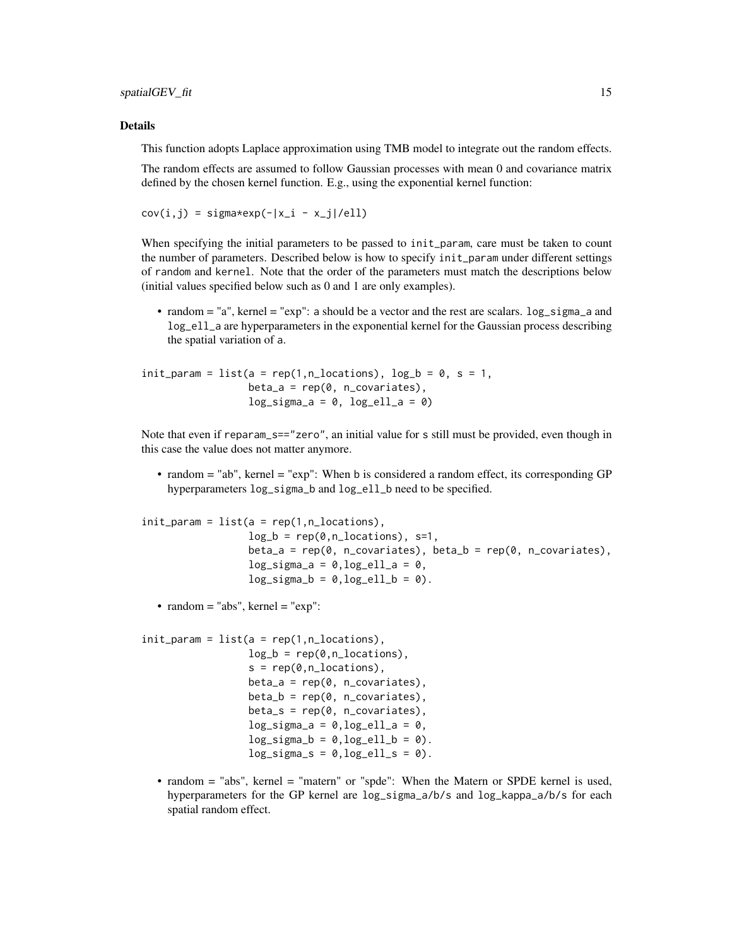#### Details

This function adopts Laplace approximation using TMB model to integrate out the random effects.

The random effects are assumed to follow Gaussian processes with mean 0 and covariance matrix defined by the chosen kernel function. E.g., using the exponential kernel function:

```
cov(i, j) = signa*exp(-|x_i - x_j|/ell)
```
When specifying the initial parameters to be passed to init\_param, care must be taken to count the number of parameters. Described below is how to specify init\_param under different settings of random and kernel. Note that the order of the parameters must match the descriptions below (initial values specified below such as 0 and 1 are only examples).

• random = "a", kernel = "exp": a should be a vector and the rest are scalars.  $log\_sigma_a$  and log\_ell\_a are hyperparameters in the exponential kernel for the Gaussian process describing the spatial variation of a.

```
init\_param = list(a = rep(1, n\_locations), log_b = 0, s = 1,beta_a = rep(0, n_c)covariates),
                  log_sigma_a = 0, log_ell_a = 0
```
Note that even if reparam\_s=="zero", an initial value for s still must be provided, even though in this case the value does not matter anymore.

• random = "ab", kernel = "exp": When b is considered a random effect, its corresponding GP hyperparameters  $log_s$  igma\_b and  $log_e$ ell\_b need to be specified.

```
init\_param = list(a = rep(1, n\_locations),log_b = rep(0, n_1) cations), s=1,
                  beta_a = rep(0, n_covariates), beta_b = rep(0, n_covariates),log_sigma_a = 0, log_ell_a = 0,log_sigma_b = 0, log_ell_b = 0.
```
• random  $=$  "abs", kernel  $=$  "exp":

```
init\_param = list(a = rep(1, n\_locations),log_b = rep(0, n\_locations),
                   s = rep(0, n_1) ocations),
                   beta_a = rep(0, n_c)covariates),
                   beta_b = rep(0, n_c) covariates),
                   beta_s = rep(0, n_covariates),
                   log_sigma_a = 0, log_ell_a = 0,log_sigma_b = 0, log_ell_b = 0.
                   log_s{igma_s = 0, log_e{l_l_s = 0}.
```
• random = "abs", kernel = "matern" or "spde": When the Matern or SPDE kernel is used, hyperparameters for the GP kernel are log\_sigma\_a/b/s and log\_kappa\_a/b/s for each spatial random effect.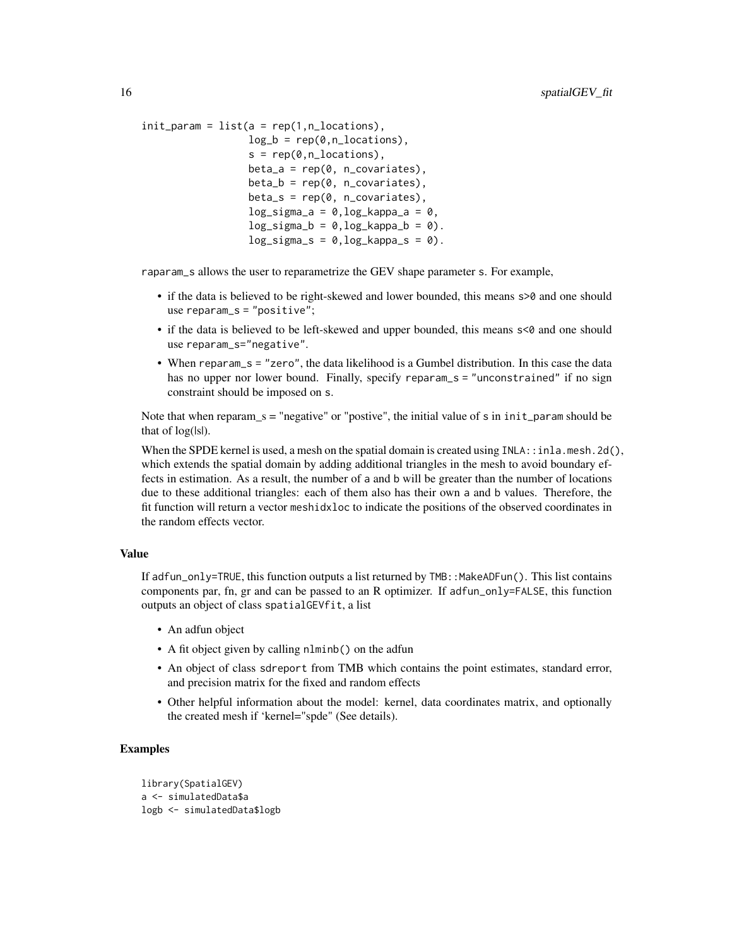```
init\_param = list(a = rep(1, n\_locations),log_b = rep(0, n\_locations),
                   s = rep(0, n_1) ocations),
                   beta_a = rep(0, n_c)covariates),
                   beta_b = rep(0, n_c) covariates),
                   beta_s = rep(0, n_covariates),
                   log_sigma_a = 0, log_kappa_a = 0,log_sigma_b = 0, log_kappa_b = 0.
                   log_sigma_s = 0,log_kappa_s = 0).
```
raparam\_s allows the user to reparametrize the GEV shape parameter s. For example,

- if the data is believed to be right-skewed and lower bounded, this means  $\epsilon > 0$  and one should use reparam\_s = "positive";
- if the data is believed to be left-skewed and upper bounded, this means  $\leq 0$  and one should use reparam\_s="negative".
- When reparam\_s = "zero", the data likelihood is a Gumbel distribution. In this case the data has no upper nor lower bound. Finally, specify reparam\_s = "unconstrained" if no sign constraint should be imposed on s.

Note that when reparam\_s = "negative" or "postive", the initial value of  $s$  in  $init$  param should be that of  $log(|s|)$ .

When the SPDE kernel is used, a mesh on the spatial domain is created using  $INLA$ ::inla.mesh.2d(), which extends the spatial domain by adding additional triangles in the mesh to avoid boundary effects in estimation. As a result, the number of a and b will be greater than the number of locations due to these additional triangles: each of them also has their own a and b values. Therefore, the fit function will return a vector meshidxloc to indicate the positions of the observed coordinates in the random effects vector.

#### Value

If adfun\_only=TRUE, this function outputs a list returned by  $\text{TMB}:$  MakeADFun(). This list contains components par, fn, gr and can be passed to an R optimizer. If adfun\_only=FALSE, this function outputs an object of class spatialGEVfit, a list

- An adfun object
- A fit object given by calling nlminb() on the adfun
- An object of class sdreport from TMB which contains the point estimates, standard error, and precision matrix for the fixed and random effects
- Other helpful information about the model: kernel, data coordinates matrix, and optionally the created mesh if 'kernel="spde" (See details).

#### Examples

```
library(SpatialGEV)
a <- simulatedData$a
logb <- simulatedData$logb
```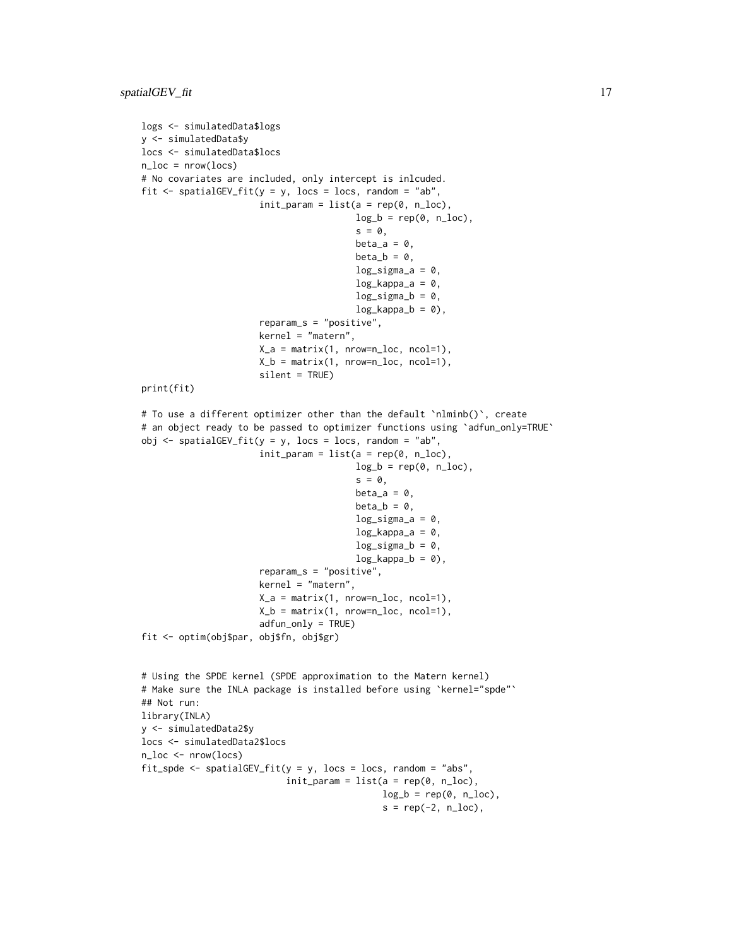```
logs <- simulatedData$logs
y <- simulatedData$y
locs <- simulatedData$locs
n\_loc = nrow(loc)# No covariates are included, only intercept is inlcuded.
fit \le spatialGEV_fit(y = y, locs = locs, random = "ab",
                      init\_param = list(a = rep(0, n\_loc),log_b = rep(0, n\_loc),s = 0,
                                        beta_a = 0,
                                        beta_b = 0,
                                        log_sigma_a = 0,
                                        log_kappa_a = 0,
                                        log_sigma_b = 0,
                                        log_kappa_b = 0,
                      reparam_s = "positive",
                      kernel = "matern",
                      X_a = matrix(1, nrow=n_loc, ncol=1),
                      X_b = matrix(1, nrow=n_loc, ncol=1),
                      silent = TRUE)
print(fit)
# To use a different optimizer other than the default `nlminb()`, create
# an object ready to be passed to optimizer functions using `adfun_only=TRUE`
obj \le spatialGEV_fit(y = y, locs = locs, random = "ab",
                      init\_param = list(a = rep(0, n\_loc),log_b = rep(0, n\_loc),
                                         s = 0,
                                        beta_a = 0,
                                        beta_b = 0,
                                        log_sigma_a = 0,
                                        log_kappa_a = 0,
                                        log_sigma_b = 0,
                                        log_kappa_b = 0,
                      reparam_s = "positive",
                      kernel = "matern",
                      X_a = matrix(1, nrow=n_loc, ncol=1),
                      X_b = matrix(1, nrow=n_loc, ncol=1),
                      adfun_only = TRUE)
fit <- optim(obj$par, obj$fn, obj$gr)
# Using the SPDE kernel (SPDE approximation to the Matern kernel)
# Make sure the INLA package is installed before using `kernel="spde"`
## Not run:
library(INLA)
y <- simulatedData2$y
locs <- simulatedData2$locs
n_loc <- nrow(locs)
fit_spde <- spatialGEV_fit(y = y, locs = locs, random = "abs",
                           init\_param = list(a = rep(0, n\_loc),log_b = rep(0, n\_loc),s = rep(-2, n\_loc),
```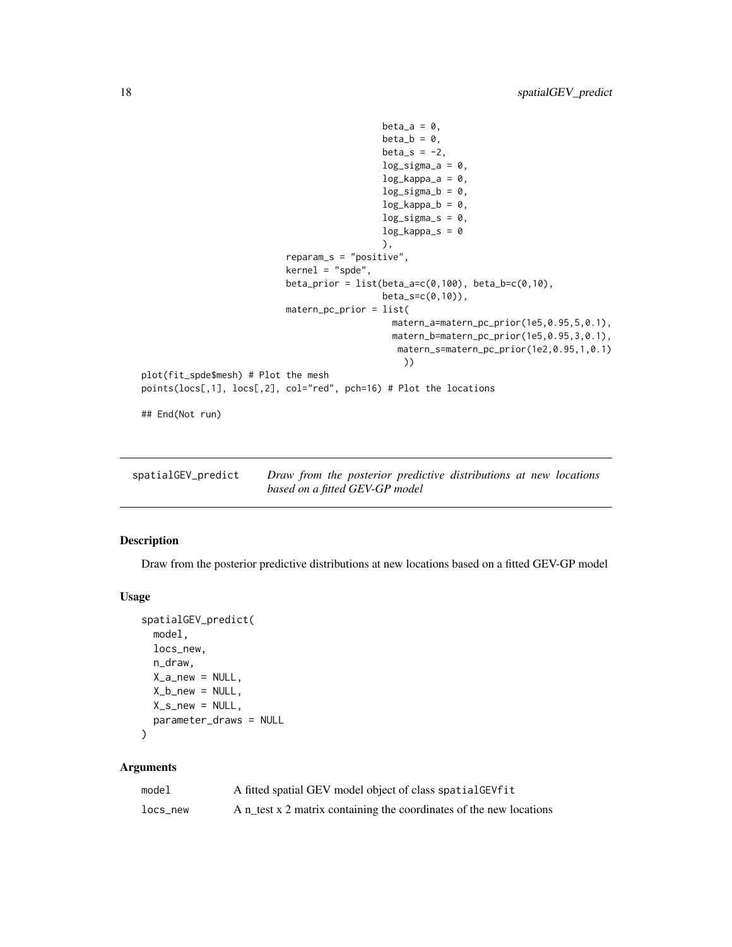```
beta_a = 0,
                                              beta_b = \theta,
                                              beta_s = -2,
                                              log_sigma_a = 0,
                                              log_kappa_a = 0,
                                              log\_sigma_b = 0,
                                              log_kappa_b = 0,
                                              log_s{igma_s = 0},
                                              log_kappa_s = 0),
                           reparam_s = "positive",
                           kernel = "spde",
                           beta\_prior = list(beta_a=c(0,100), beta_b=c(0,10),beta_s=c(0,10)),
                           matern_pc_prior = list(
                                                matern_a=matern_pc_prior(1e5,0.95,5,0.1),
                                                matern_b=matern_pc_prior(1e5,0.95,3,0.1),
                                                matern_s=matern_pc_prior(1e2,0.95,1,0.1)
                                                  ))
plot(fit_spde$mesh) # Plot the mesh
points(locs[,1], locs[,2], col="red", pch=16) # Plot the locations
```
## End(Not run)

| spatialGEV_predict | Draw from the posterior predictive distributions at new locations |  |  |  |
|--------------------|-------------------------------------------------------------------|--|--|--|
|                    | based on a fitted GEV-GP model                                    |  |  |  |

#### Description

Draw from the posterior predictive distributions at new locations based on a fitted GEV-GP model

#### Usage

```
spatialGEV_predict(
 model,
 locs_new,
 n_draw,
 X_a_nnew = NULL,
 X_b_n = NULL,X_s_new = NULL,parameter_draws = NULL
```

```
)
```
#### Arguments

| model    | A fitted spatial GEV model object of class spatial GEV fit          |
|----------|---------------------------------------------------------------------|
| locs new | A n_test x 2 matrix containing the coordinates of the new locations |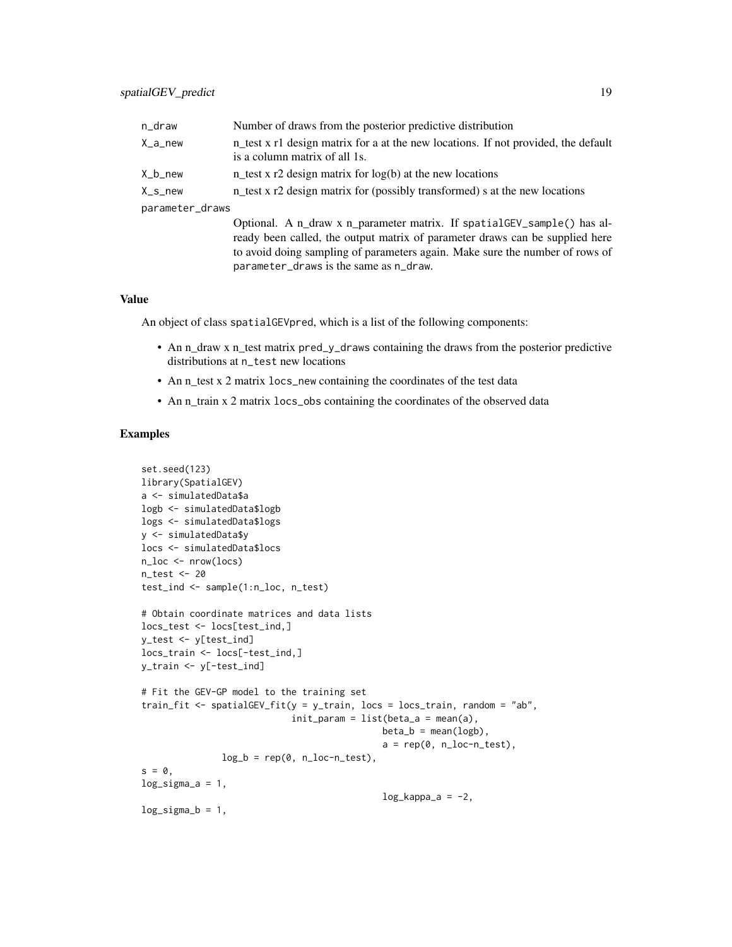| n_draw          | Number of draws from the posterior predictive distribution                                                                                                                                                                              |
|-----------------|-----------------------------------------------------------------------------------------------------------------------------------------------------------------------------------------------------------------------------------------|
| X_a_new         | n test x r1 design matrix for a at the new locations. If not provided, the default<br>is a column matrix of all 1s.                                                                                                                     |
| X_b_new         | n test x r2 design matrix for $log(b)$ at the new locations                                                                                                                                                                             |
| $X_s$ _new      | n_test x r2 design matrix for (possibly transformed) s at the new locations                                                                                                                                                             |
| parameter_draws |                                                                                                                                                                                                                                         |
|                 | Optional. A n_draw x n_parameter matrix. If spatialGEV_sample() has al-<br>ready been called, the output matrix of parameter draws can be supplied here<br>to avoid doing sampling of parameters again. Make sure the number of rows of |

#### Value

An object of class spatialGEVpred, which is a list of the following components:

parameter\_draws is the same as n\_draw.

- An n\_draw x n\_test matrix pred\_y\_draws containing the draws from the posterior predictive distributions at n\_test new locations
- An n\_test x 2 matrix locs\_new containing the coordinates of the test data
- An n\_train x 2 matrix locs\_obs containing the coordinates of the observed data

#### Examples

```
set.seed(123)
library(SpatialGEV)
a <- simulatedData$a
logb <- simulatedData$logb
logs <- simulatedData$logs
y <- simulatedData$y
locs <- simulatedData$locs
n_loc <- nrow(locs)
n_test <- 20
test_ind <- sample(1:n_loc, n_test)
# Obtain coordinate matrices and data lists
locs_test <- locs[test_ind,]
y_test <- y[test_ind]
locs_train <- locs[-test_ind,]
y_train <- y[-test_ind]
# Fit the GEV-GP model to the training set
train_fit <- spatialGEV_fit(y = y_train, locs = locs_train, random = "ab",
                            init\_param = list(beta_a = mean(a),beta_b = mean(logb),
                                             a = rep(0, n\_loc-n\_test),log_b = rep(0, n\_loc-n\_test),s = 0,
log_sigma_a = 1,
                                             log_kappa_a = -2,
log_sigma_b = 1,
```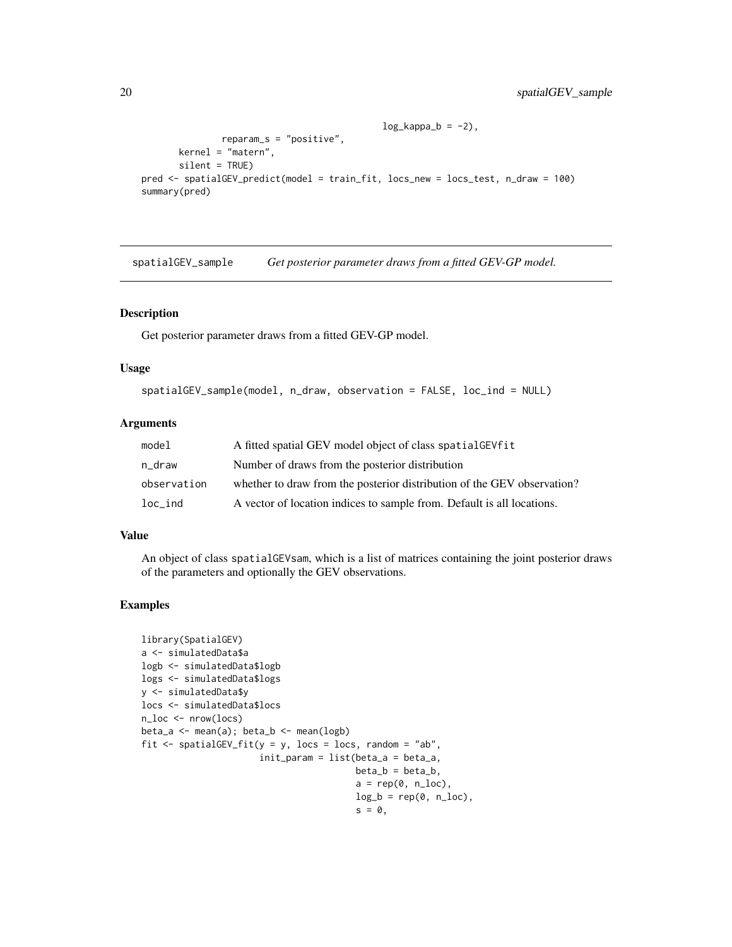```
log_kappa_b = -2,
               reparam_s = "positive",
      kernel = "matern",
      silent = TRUE)
pred <- spatialGEV_predict(model = train_fit, locs_new = locs_test, n_draw = 100)
summary(pred)
```
spatialGEV\_sample *Get posterior parameter draws from a fitted GEV-GP model.*

#### Description

Get posterior parameter draws from a fitted GEV-GP model.

#### Usage

```
spatialGEV_sample(model, n_draw, observation = FALSE, loc_ind = NULL)
```
#### Arguments

| model       | A fitted spatial GEV model object of class spatial GEV fit              |
|-------------|-------------------------------------------------------------------------|
| n draw      | Number of draws from the posterior distribution                         |
| observation | whether to draw from the posterior distribution of the GEV observation? |
| loc ind     | A vector of location indices to sample from. Default is all locations.  |

#### Value

An object of class spatialGEVsam, which is a list of matrices containing the joint posterior draws of the parameters and optionally the GEV observations.

#### Examples

```
library(SpatialGEV)
a <- simulatedData$a
logb <- simulatedData$logb
logs <- simulatedData$logs
y <- simulatedData$y
locs <- simulatedData$locs
n_loc <- nrow(locs)
beta_a <- mean(a); beta_b <- mean(logb)
fit \le spatialGEV_fit(y = y, locs = locs, random = "ab",
                      init_param = list(beta_a = beta_a,
                                        beta_b = beta_b,
                                        a = rep(0, n\_loc),log_b = rep(0, n\_loc),s = 0,
```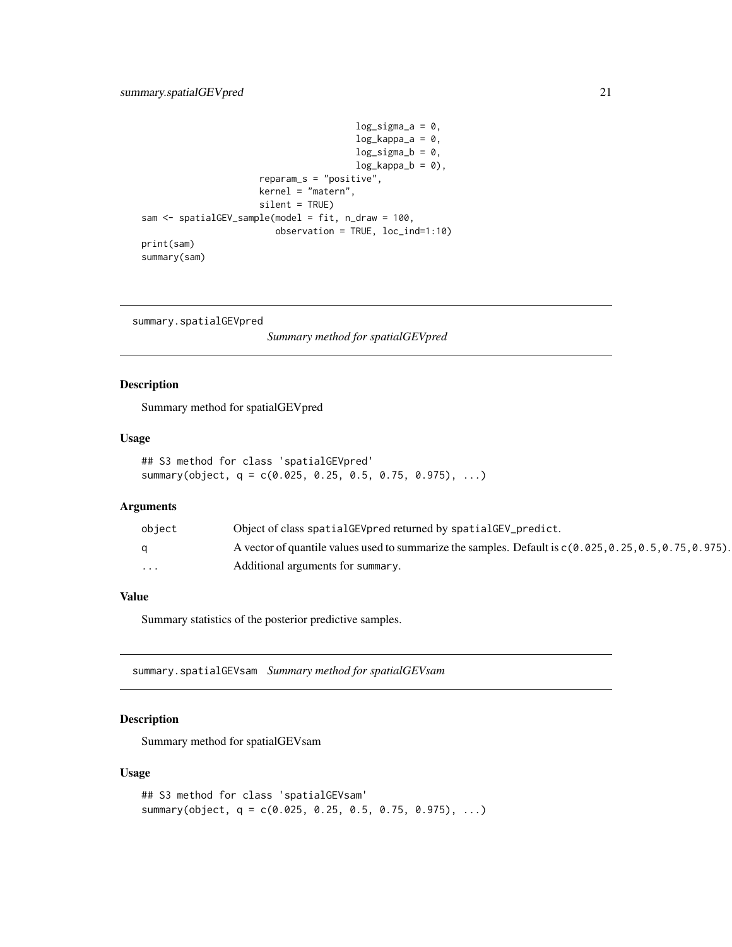```
log_sigma_a = 0,
                                        log_kappa_a = 0,
                                        log_sigma_b = 0,
                                        log_kappa_b = 0,
                      reparam_s = "positive",
                      kernel = "matern",
                      silent = TRUE)
sam <- spatialGEV_sample(model = fit, n_draw = 100,
                         observation = TRUE, loc_ind=1:10)
print(sam)
summary(sam)
```
summary.spatialGEVpred

*Summary method for spatialGEVpred*

#### Description

Summary method for spatialGEVpred

#### Usage

```
## S3 method for class 'spatialGEVpred'
summary(object, q = c(0.025, 0.25, 0.5, 0.75, 0.975), ...)
```
#### Arguments

| obiect   | Object of class spatialGEVpred returned by spatialGEV_predict.                                             |
|----------|------------------------------------------------------------------------------------------------------------|
| a        | A vector of quantile values used to summarize the samples. Default is $c(0.025, 0.25, 0.5, 0.75, 0.975)$ . |
| $\cdots$ | Additional arguments for summary.                                                                          |

#### Value

Summary statistics of the posterior predictive samples.

summary.spatialGEVsam *Summary method for spatialGEVsam*

#### Description

Summary method for spatialGEVsam

#### Usage

```
## S3 method for class 'spatialGEVsam'
summary(object, q = c(0.025, 0.25, 0.5, 0.75, 0.975), ...)
```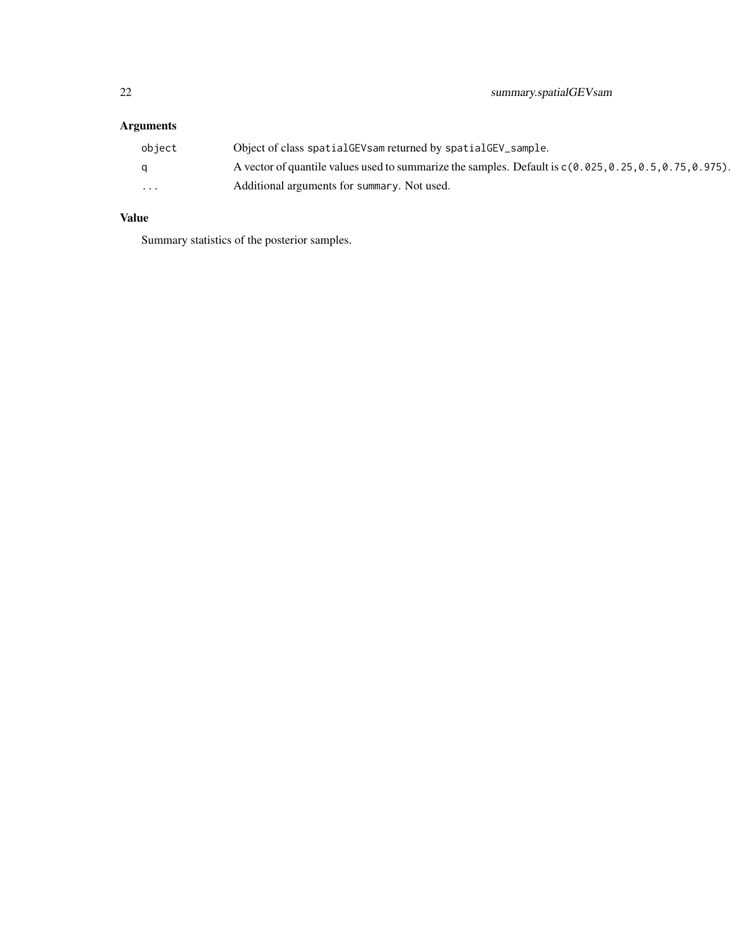### Arguments

| object                  | Object of class spatial GEV sam returned by spatial GEV_sample.                                            |
|-------------------------|------------------------------------------------------------------------------------------------------------|
|                         | A vector of quantile values used to summarize the samples. Default is $c(0.025, 0.25, 0.5, 0.75, 0.975)$ . |
| $\cdot$ $\cdot$ $\cdot$ | Additional arguments for summary. Not used.                                                                |

#### Value

Summary statistics of the posterior samples.